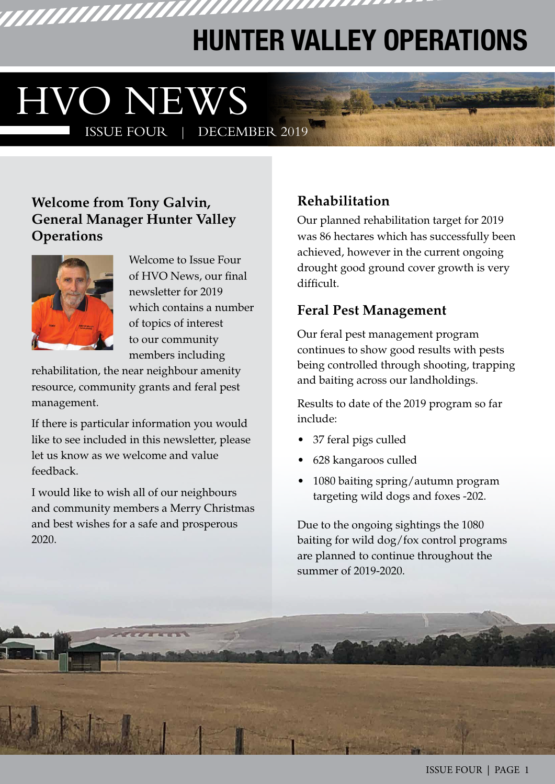# **HUNTER VALLEY OPERATIONS**

,,,,,,,,,,,,,,,

# **HVO NEWS**<br>ISSUE FOUR | DECEMBER 2019 **ISSUE FOUR |**

WWWW

#### **Welcome from Tony Galvin, General Manager Hunter Valley Operations**



Welcome to Issue Four of HVO News, our final newsletter for 2019 which contains a number of topics of interest to our community members including

rehabilitation, the near neighbour amenity resource, community grants and feral pest management.

If there is particular information you would like to see included in this newsletter, please let us know as we welcome and value feedback.

I would like to wish all of our neighbours and community members a Merry Christmas and best wishes for a safe and prosperous 2020.

## **Rehabilitation**

Our planned rehabilitation target for 2019 was 86 hectares which has successfully been achieved, however in the current ongoing drought good ground cover growth is very difficult.

#### **Feral Pest Management**

Our feral pest management program continues to show good results with pests being controlled through shooting, trapping and baiting across our landholdings.

Results to date of the 2019 program so far include:

- 37 feral pigs culled
- 628 kangaroos culled
- 1080 baiting spring/autumn program targeting wild dogs and foxes -202.

Due to the ongoing sightings the 1080 baiting for wild dog/fox control programs are planned to continue throughout the summer of 2019-2020.

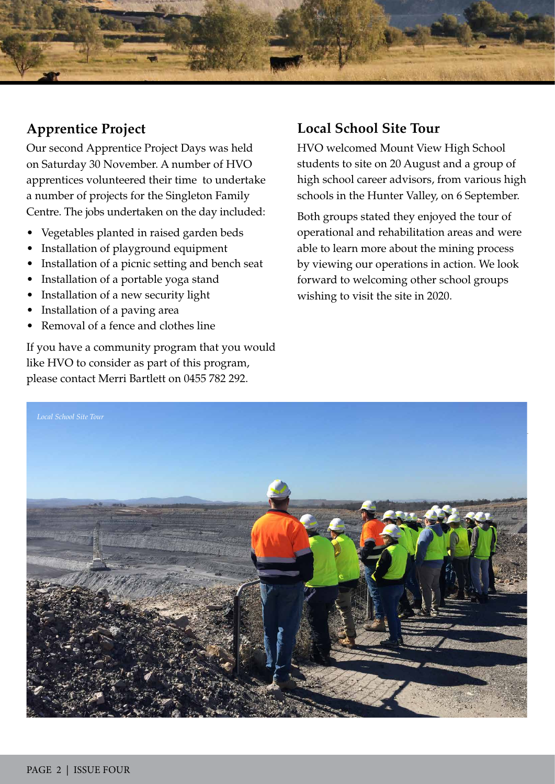

#### **Apprentice Project**

Our second Apprentice Project Days was held on Saturday 30 November. A number of HVO apprentices volunteered their time to undertake a number of projects for the Singleton Family Centre. The jobs undertaken on the day included:

- Vegetables planted in raised garden beds
- Installation of playground equipment
- Installation of a picnic setting and bench seat
- Installation of a portable yoga stand
- Installation of a new security light
- Installation of a paving area
- Removal of a fence and clothes line

If you have a community program that you would like HVO to consider as part of this program, please contact Merri Bartlett on 0455 782 292.

#### **Local School Site Tour**

HVO welcomed Mount View High School students to site on 20 August and a group of high school career advisors, from various high schools in the Hunter Valley, on 6 September.

Both groups stated they enjoyed the tour of operational and rehabilitation areas and were able to learn more about the mining process by viewing our operations in action. We look forward to welcoming other school groups wishing to visit the site in 2020.

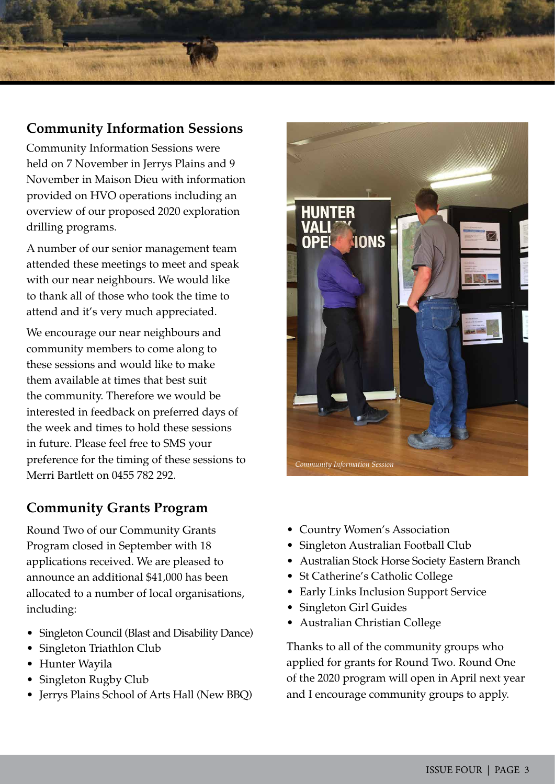#### **Community Information Sessions**

Community Information Sessions were held on 7 November in Jerrys Plains and 9 November in Maison Dieu with information provided on HVO operations including an overview of our proposed 2020 exploration drilling programs.

A number of our senior management team attended these meetings to meet and speak with our near neighbours. We would like to thank all of those who took the time to attend and it's very much appreciated.

We encourage our near neighbours and community members to come along to these sessions and would like to make them available at times that best suit the community. Therefore we would be interested in feedback on preferred days of the week and times to hold these sessions in future. Please feel free to SMS your preference for the timing of these sessions to Merri Bartlett on 0455 782 292.

#### **Community Grants Program**

Round Two of our Community Grants Program closed in September with 18 applications received. We are pleased to announce an additional \$41,000 has been allocated to a number of local organisations, including:

- Singleton Council (Blast and Disability Dance)
- Singleton Triathlon Club
- Hunter Wayila
- Singleton Rugby Club
- Jerrys Plains School of Arts Hall (New BBQ)



- Country Women's Association
- Singleton Australian Football Club
- Australian Stock Horse Society Eastern Branch
- St Catherine's Catholic College
- Early Links Inclusion Support Service
- Singleton Girl Guides
- Australian Christian College

Thanks to all of the community groups who applied for grants for Round Two. Round One of the 2020 program will open in April next year and I encourage community groups to apply.